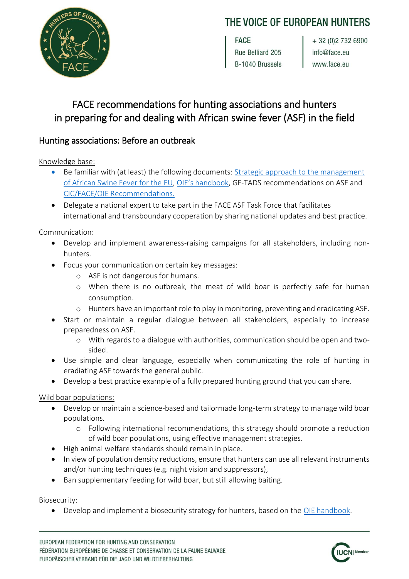# THE VOICE OF EUROPEAN HUNTERS



**FACE** Rue Belliard 205 B-1040 Brussels

 $+32(0)27326900$ info@face.eu www.face.eu

# FACE recommendations for hunting associations and hunters in preparing for and dealing with African swine fever (ASF) in the field

# Hunting associations: Before an outbreak

Knowledge base:

- Be familiar with (at least) the following documents: [Strategic approach to the management](https://ec.europa.eu/food/sites/food/files/animals/docs/ad_control-measures_asf_wrk-doc-sante-2015-7113.pdf)  [of African Swine Fever for the EU,](https://ec.europa.eu/food/sites/food/files/animals/docs/ad_control-measures_asf_wrk-doc-sante-2015-7113.pdf) [OIE's handbook](http://web.oie.int/RR-Europe/eng/eng/Regprog/docs/docs/GF-TADs%20Handbook_ASF_WILDBOAR%20version%202018-09-25.pdf), GF-TADS recommendations on ASF and [CIC/FACE/OIE Recommendations.](http://face.eu/sites/default/files/attachments/final_report_asf_training_course_pravets_20171218.pdf)
- Delegate a national expert to take part in the FACE ASF Task Force that facilitates international and transboundary cooperation by sharing national updates and best practice.

Communication:

- Develop and implement awareness-raising campaigns for all stakeholders, including nonhunters.
- Focus your communication on certain key messages:
	- o ASF is not dangerous for humans.
	- o When there is no outbreak, the meat of wild boar is perfectly safe for human consumption.
	- o Hunters have an important role to play in monitoring, preventing and eradicating ASF.
- Start or maintain a regular dialogue between all stakeholders, especially to increase preparedness on ASF.
	- o With regards to a dialogue with authorities, communication should be open and twosided.
- Use simple and clear language, especially when communicating the role of hunting in eradiating ASF towards the general public.
- Develop a best practice example of a fully prepared hunting ground that you can share.

Wild boar populations:

- Develop or maintain a science-based and tailormade long-term strategy to manage wild boar populations.
	- o Following international recommendations, this strategy should promote a reduction of wild boar populations, using effective management strategies.
- High animal welfare standards should remain in place.
- In view of population density reductions, ensure that hunters can use all relevant instruments and/or hunting techniques (e.g. night vision and suppressors),
- Ban supplementary feeding for wild boar, but still allowing baiting.

Biosecurity:

Develop and implement a biosecurity strategy for hunters, based on the [OIE handbook.](http://web.oie.int/RR-Europe/eng/eng/Regprog/docs/docs/GF-TADs%20Handbook_ASF_WILDBOAR%20version%202018-09-25.pdf)

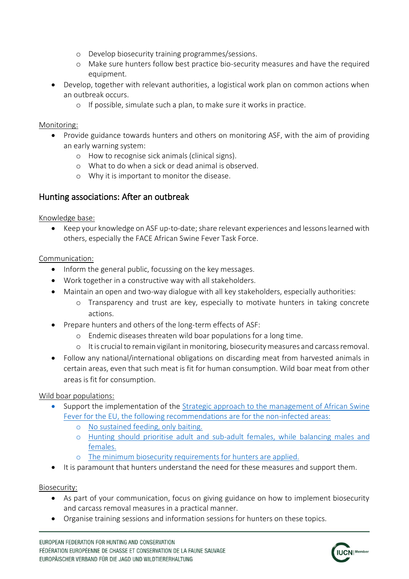- o Develop biosecurity training programmes/sessions.
- o Make sure hunters follow best practice bio-security measures and have the required equipment.
- Develop, together with relevant authorities, a logistical work plan on common actions when an outbreak occurs.
	- o If possible, simulate such a plan, to make sure it works in practice.

#### Monitoring:

- Provide guidance towards hunters and others on monitoring ASF, with the aim of providing an early warning system:
	- o How to recognise sick animals (clinical signs).
	- o What to do when a sick or dead animal is observed.
	- o Why it is important to monitor the disease.

# Hunting associations: After an outbreak

#### Knowledge base:

 Keep your knowledge on ASF up-to-date; share relevant experiences and lessons learned with others, especially the FACE African Swine Fever Task Force.

### Communication:

- Inform the general public, focussing on the key messages.
- Work together in a constructive way with all stakeholders.
- Maintain an open and two-way dialogue with all key stakeholders, especially authorities:
	- o Transparency and trust are key, especially to motivate hunters in taking concrete actions.
- Prepare hunters and others of the long-term effects of ASF:
	- o Endemic diseases threaten wild boar populations for a long time.
	- o It is crucial to remain vigilant in monitoring, biosecurity measures and carcass removal.
- Follow any national/international obligations on discarding meat from harvested animals in certain areas, even that such meat is fit for human consumption. Wild boar meat from other areas is fit for consumption.

## Wild boar populations:

- Support the implementation of the Strategic approach to the management of African Swine [Fever for the EU,](https://ec.europa.eu/food/sites/food/files/animals/docs/ad_control-measures_asf_wrk-doc-sante-2015-7113.pdf) the following recommendations are for the non-infected areas:
	- o No sustained feeding, only baiting.
	- o Hunting should prioritise adult and sub-adult females, while balancing males and females.
	- o The minimum biosecurity requirements for hunters are applied.
- It is paramount that hunters understand the need for these measures and support them.

## Biosecurity:

- As part of your communication, focus on giving guidance on how to implement biosecurity and carcass removal measures in a practical manner.
- Organise training sessions and information sessions for hunters on these topics.

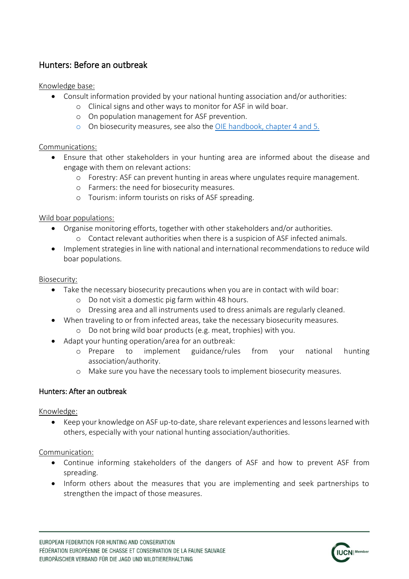# Hunters: Before an outbreak

Knowledge base:

- Consult information provided by your national hunting association and/or authorities:
	- o Clinical signs and other ways to monitor for ASF in wild boar.
	- o On population management for ASF prevention.
	- o On biosecurity measures, see also the [OIE handbook,](http://web.oie.int/RR-Europe/eng/eng/Regprog/docs/docs/GF-TADs%20Handbook_ASF_WILDBOAR%20version%202018-09-25.pdf) chapter 4 and 5.

### Communications:

- Ensure that other stakeholders in your hunting area are informed about the disease and engage with them on relevant actions:
	- o Forestry: ASF can prevent hunting in areas where ungulates require management.
	- o Farmers: the need for biosecurity measures.
	- o Tourism: inform tourists on risks of ASF spreading.

### Wild boar populations:

- Organise monitoring efforts, together with other stakeholders and/or authorities. o Contact relevant authorities when there is a suspicion of ASF infected animals.
- Implement strategies in line with national and international recommendations to reduce wild boar populations.

### Biosecurity:

- Take the necessary biosecurity precautions when you are in contact with wild boar:
	- o Do not visit a domestic pig farm within 48 hours.
	- o Dressing area and all instruments used to dress animals are regularly cleaned.
- When traveling to or from infected areas, take the necessary biosecurity measures.
	- o Do not bring wild boar products (e.g. meat, trophies) with you.
- Adapt your hunting operation/area for an outbreak:
	- o Prepare to implement guidance/rules from your national hunting association/authority.
	- o Make sure you have the necessary tools to implement biosecurity measures.

## Hunters: After an outbreak

#### Knowledge:

 Keep your knowledge on ASF up-to-date, share relevant experiences and lessons learned with others, especially with your national hunting association/authorities.

#### Communication:

- Continue informing stakeholders of the dangers of ASF and how to prevent ASF from spreading.
- Inform others about the measures that you are implementing and seek partnerships to strengthen the impact of those measures.